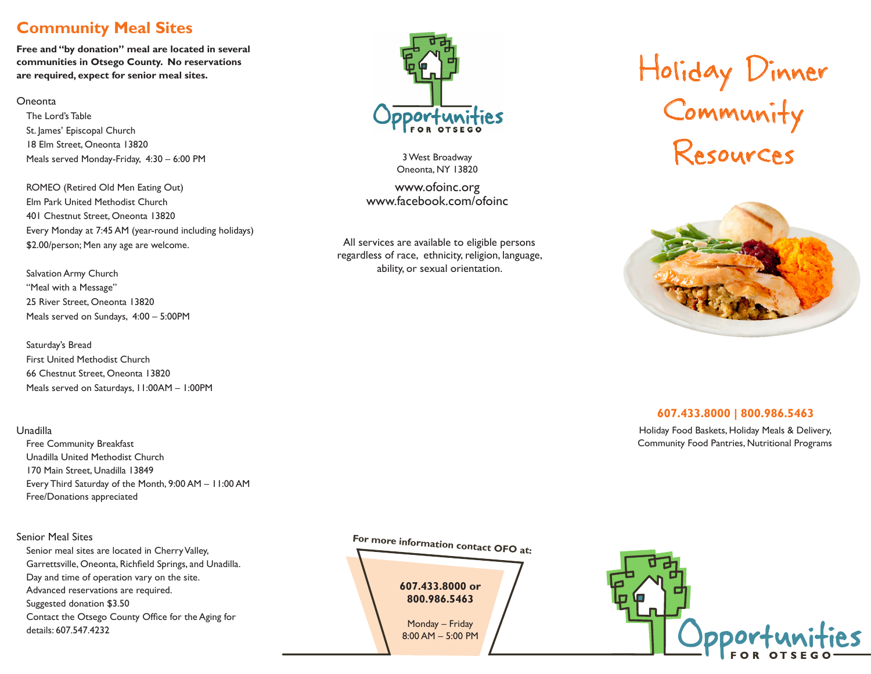## **Community Meal Sites**

**Free and "by donation" meal are located in several communities in Otsego County. No reservations are required, expect for senior meal sites.**

#### Oneonta

The Lord's Table St. James' Episcopal Church 18 Elm Street, Oneonta 13820 Meals served Monday-Friday, 4:30 – 6:00 PM

ROMEO (Retired Old Men Eating Out) Elm Park United Methodist Church 401 Chestnut Street, Oneonta 13820 Every Monday at 7:45 AM (year-round including holidays) \$2.00/person; Men any age are welcome.

Salvation Army Church "Meal with a Message" 25 River Street, Oneonta 13820 Meals served on Sundays, 4:00 – 5:00PM

Saturday's Bread First United Methodist Church 66 Chestnut Street, Oneonta 13820 Meals served on Saturdays, 11:00AM – 1:00PM

#### Unadilla

Free Community Breakfast Unadilla United Methodist Church 170 Main Street, Unadilla 13849 Every Third Saturday of the Month, 9:00 AM – 11:00 AM Free/Donations appreciated

#### Senior Meal Sites

Senior meal sites are located in Cherry Valley, Garrettsville, Oneonta, Richfield Springs, and Unadilla. Day and time of operation vary on the site. Advanced reservations are required. Suggested donation \$3.50 Contact the Otsego County Office for the Aging for details: 607.547.4232



3 West Broadway Oneonta, NY 13820

www.ofoinc.org www.facebook.com/ofoinc

All services are available to eligible persons regardless of race, ethnicity, religion, language, ability, or sexual orientation.

# Holiday Dinner Community Resources



#### **607.433.8000 | 800.986.5463**

Holiday Food Baskets, Holiday Meals & Delivery, Community Food Pantries, Nutritional Programs

**For more information contact OFO at:**

**607.433.8000 or 800.986.5463**

Monday – Friday 8:00 AM – 5:00 PM